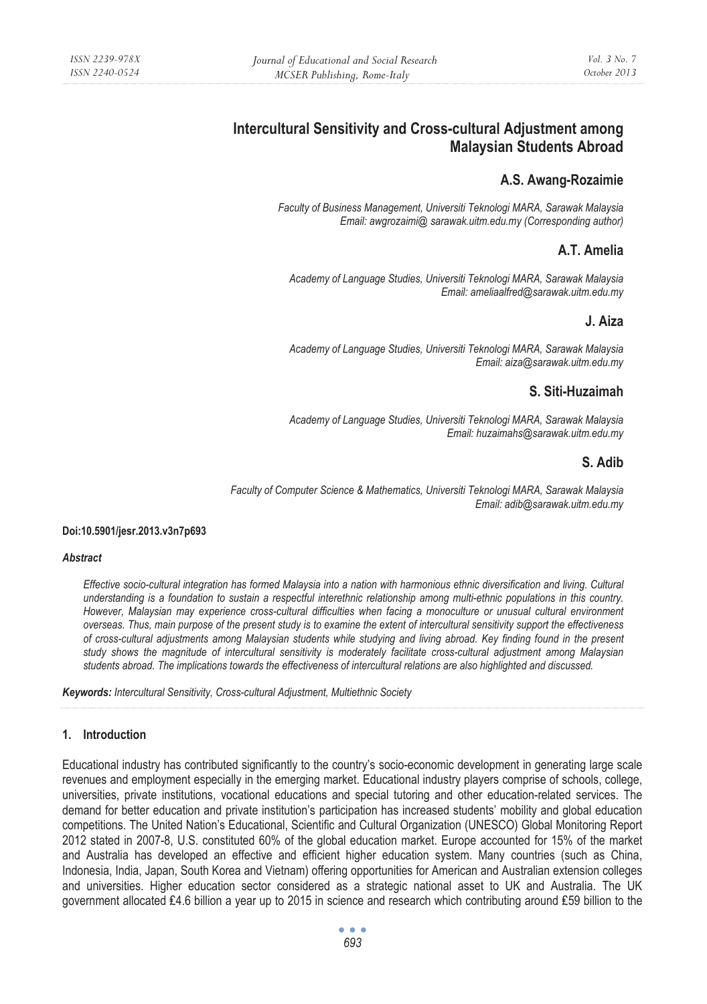# **Intercultural Sensitivity and Cross-cultural Adjustment among Malaysian Students Abroad**

## **A.S. Awang-Rozaimie**

*Faculty of Business Management, Universiti Teknologi MARA, Sarawak Malaysia Email: awgrozaimi@ sarawak.uitm.edu.my (Corresponding author)* 

## **A.T. Amelia**

*Academy of Language Studies, Universiti Teknologi MARA, Sarawak Malaysia Email: ameliaalfred@sarawak.uitm.edu.my* 

### **J. Aiza**

*Academy of Language Studies, Universiti Teknologi MARA, Sarawak Malaysia Email: aiza@sarawak.uitm.edu.my* 

## **S. Siti-Huzaimah**

*Academy of Language Studies, Universiti Teknologi MARA, Sarawak Malaysia Email: huzaimahs@sarawak.uitm.edu.my* 

#### **S. Adib**

*Faculty of Computer Science & Mathematics, Universiti Teknologi MARA, Sarawak Malaysia Email: adib@sarawak.uitm.edu.my* 

#### **Doi:10.5901/jesr.2013.v3n7p693**

#### *Abstract*

*Effective socio-cultural integration has formed Malaysia into a nation with harmonious ethnic diversification and living. Cultural understanding is a foundation to sustain a respectful interethnic relationship among multi-ethnic populations in this country. However, Malaysian may experience cross-cultural difficulties when facing a monoculture or unusual cultural environment overseas. Thus, main purpose of the present study is to examine the extent of intercultural sensitivity support the effectiveness of cross-cultural adjustments among Malaysian students while studying and living abroad. Key finding found in the present study shows the magnitude of intercultural sensitivity is moderately facilitate cross-cultural adjustment among Malaysian students abroad. The implications towards the effectiveness of intercultural relations are also highlighted and discussed.* 

*Keywords: Intercultural Sensitivity, Cross-cultural Adjustment, Multiethnic Society* 

#### **1. Introduction**

Educational industry has contributed significantly to the country's socio-economic development in generating large scale revenues and employment especially in the emerging market. Educational industry players comprise of schools, college, universities, private institutions, vocational educations and special tutoring and other education-related services. The demand for better education and private institution's participation has increased students' mobility and global education competitions. The United Nation's Educational, Scientific and Cultural Organization (UNESCO) Global Monitoring Report 2012 stated in 2007-8, U.S. constituted 60% of the global education market. Europe accounted for 15% of the market and Australia has developed an effective and efficient higher education system. Many countries (such as China, Indonesia, India, Japan, South Korea and Vietnam) offering opportunities for American and Australian extension colleges and universities. Higher education sector considered as a strategic national asset to UK and Australia. The UK government allocated £4.6 billion a year up to 2015 in science and research which contributing around £59 billion to the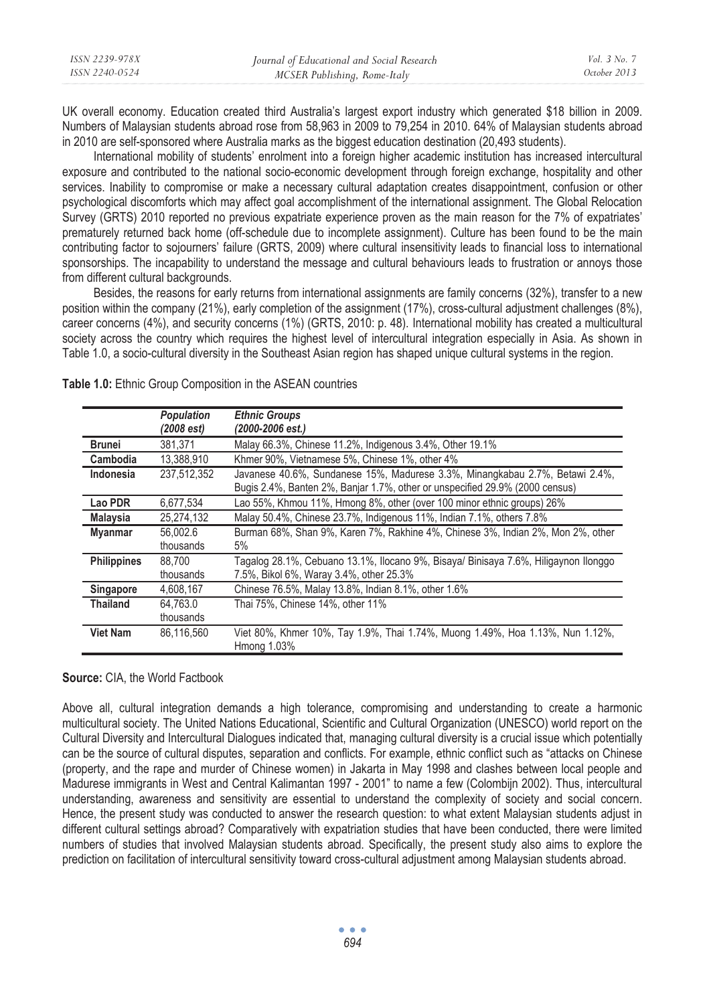| ISSN 2239-978X | Journal of Educational and Social Research | Vol. 3 No. 7 |
|----------------|--------------------------------------------|--------------|
| ISSN 2240-0524 | MCSER Publishing, Rome-Italy               | October 2013 |

UK overall economy. Education created third Australia's largest export industry which generated \$18 billion in 2009. Numbers of Malaysian students abroad rose from 58,963 in 2009 to 79,254 in 2010. 64% of Malaysian students abroad in 2010 are self-sponsored where Australia marks as the biggest education destination (20,493 students).

International mobility of students' enrolment into a foreign higher academic institution has increased intercultural exposure and contributed to the national socio-economic development through foreign exchange, hospitality and other services. Inability to compromise or make a necessary cultural adaptation creates disappointment, confusion or other psychological discomforts which may affect goal accomplishment of the international assignment. The Global Relocation Survey (GRTS) 2010 reported no previous expatriate experience proven as the main reason for the 7% of expatriates' prematurely returned back home (off-schedule due to incomplete assignment). Culture has been found to be the main contributing factor to sojourners' failure (GRTS, 2009) where cultural insensitivity leads to financial loss to international sponsorships. The incapability to understand the message and cultural behaviours leads to frustration or annoys those from different cultural backgrounds.

Besides, the reasons for early returns from international assignments are family concerns (32%), transfer to a new position within the company (21%), early completion of the assignment (17%), cross-cultural adjustment challenges (8%), career concerns (4%), and security concerns (1%) (GRTS, 2010: p. 48). International mobility has created a multicultural society across the country which requires the highest level of intercultural integration especially in Asia. As shown in Table 1.0, a socio-cultural diversity in the Southeast Asian region has shaped unique cultural systems in the region.

|                    | <b>Population</b><br>(2008 est) | <b>Ethnic Groups</b><br>(2000-2006 est.)                                                                                                                     |
|--------------------|---------------------------------|--------------------------------------------------------------------------------------------------------------------------------------------------------------|
| Brunei             | 381.371                         | Malay 66.3%, Chinese 11.2%, Indigenous 3.4%, Other 19.1%                                                                                                     |
| Cambodia           | 13,388,910                      | Khmer 90%, Vietnamese 5%, Chinese 1%, other 4%                                                                                                               |
| Indonesia          | 237.512.352                     | Javanese 40.6%, Sundanese 15%, Madurese 3.3%, Minangkabau 2.7%, Betawi 2.4%,<br>Bugis 2.4%, Banten 2%, Banjar 1.7%, other or unspecified 29.9% (2000 census) |
| Lao PDR            | 6,677,534                       | Lao 55%, Khmou 11%, Hmong 8%, other (over 100 minor ethnic groups) 26%                                                                                       |
| Malaysia           | 25.274.132                      | Malay 50.4%, Chinese 23.7%, Indigenous 11%, Indian 7.1%, others 7.8%                                                                                         |
| <b>Myanmar</b>     | 56.002.6<br>thousands           | Burman 68%, Shan 9%, Karen 7%, Rakhine 4%, Chinese 3%, Indian 2%, Mon 2%, other<br>5%                                                                        |
| <b>Philippines</b> | 88.700<br>thousands             | Tagalog 28.1%, Cebuano 13.1%, Ilocano 9%, Bisaya/ Binisaya 7.6%, Hiligaynon Ilonggo<br>7.5%, Bikol 6%, Waray 3.4%, other 25.3%                               |
| Singapore          | 4,608,167                       | Chinese 76.5%, Malay 13.8%, Indian 8.1%, other 1.6%                                                                                                          |
| <b>Thailand</b>    | 64.763.0<br>thousands           | Thai 75%. Chinese 14%, other 11%                                                                                                                             |
| <b>Viet Nam</b>    | 86.116.560                      | Viet 80%, Khmer 10%, Tay 1.9%, Thai 1.74%, Muong 1.49%, Hoa 1.13%, Nun 1.12%,<br>Hmong 1.03%                                                                 |

**Table 1.0:** Ethnic Group Composition in the ASEAN countries

**Source:** CIA, the World Factbook

Above all, cultural integration demands a high tolerance, compromising and understanding to create a harmonic multicultural society. The United Nations Educational, Scientific and Cultural Organization (UNESCO) world report on the Cultural Diversity and Intercultural Dialogues indicated that, managing cultural diversity is a crucial issue which potentially can be the source of cultural disputes, separation and conflicts. For example, ethnic conflict such as "attacks on Chinese (property, and the rape and murder of Chinese women) in Jakarta in May 1998 and clashes between local people and Madurese immigrants in West and Central Kalimantan 1997 - 2001" to name a few (Colombijn 2002). Thus, intercultural understanding, awareness and sensitivity are essential to understand the complexity of society and social concern. Hence, the present study was conducted to answer the research question: to what extent Malaysian students adjust in different cultural settings abroad? Comparatively with expatriation studies that have been conducted, there were limited numbers of studies that involved Malaysian students abroad. Specifically, the present study also aims to explore the prediction on facilitation of intercultural sensitivity toward cross-cultural adjustment among Malaysian students abroad.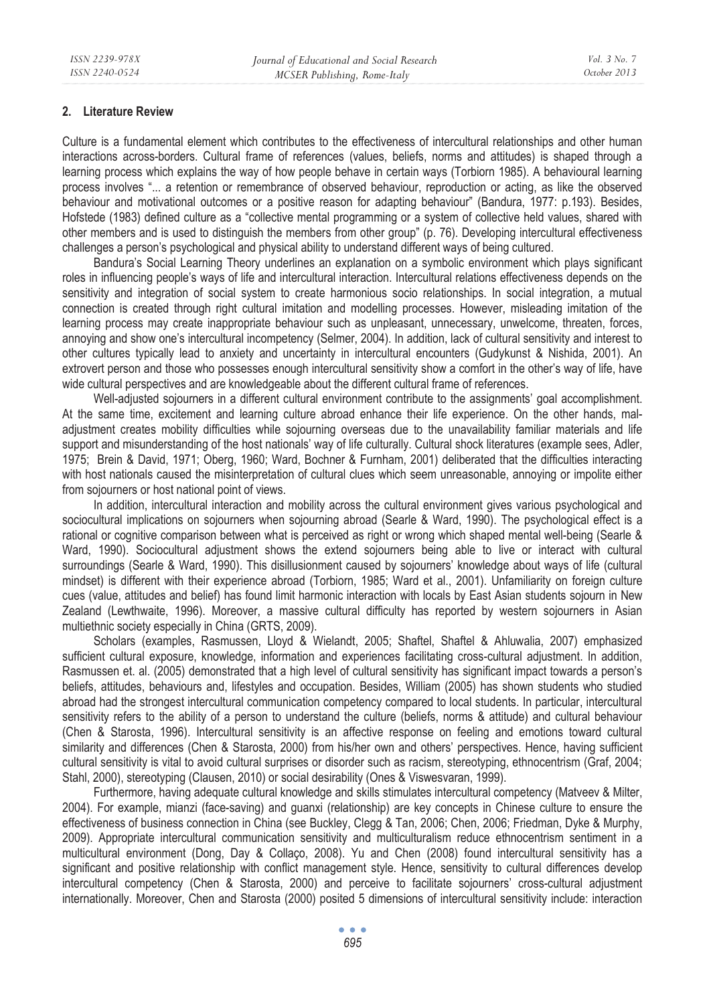#### **2. Literature Review**

Culture is a fundamental element which contributes to the effectiveness of intercultural relationships and other human interactions across-borders. Cultural frame of references (values, beliefs, norms and attitudes) is shaped through a learning process which explains the way of how people behave in certain ways (Torbiorn 1985). A behavioural learning process involves "... a retention or remembrance of observed behaviour, reproduction or acting, as like the observed behaviour and motivational outcomes or a positive reason for adapting behaviour" (Bandura, 1977: p.193). Besides, Hofstede (1983) defined culture as a "collective mental programming or a system of collective held values, shared with other members and is used to distinguish the members from other group" (p. 76). Developing intercultural effectiveness challenges a person's psychological and physical ability to understand different ways of being cultured.

Bandura's Social Learning Theory underlines an explanation on a symbolic environment which plays significant roles in influencing people's ways of life and intercultural interaction. Intercultural relations effectiveness depends on the sensitivity and integration of social system to create harmonious socio relationships. In social integration, a mutual connection is created through right cultural imitation and modelling processes. However, misleading imitation of the learning process may create inappropriate behaviour such as unpleasant, unnecessary, unwelcome, threaten, forces, annoying and show one's intercultural incompetency (Selmer, 2004). In addition, lack of cultural sensitivity and interest to other cultures typically lead to anxiety and uncertainty in intercultural encounters (Gudykunst & Nishida, 2001). An extrovert person and those who possesses enough intercultural sensitivity show a comfort in the other's way of life, have wide cultural perspectives and are knowledgeable about the different cultural frame of references.

Well-adjusted sojourners in a different cultural environment contribute to the assignments' goal accomplishment. At the same time, excitement and learning culture abroad enhance their life experience. On the other hands, maladjustment creates mobility difficulties while sojourning overseas due to the unavailability familiar materials and life support and misunderstanding of the host nationals' way of life culturally. Cultural shock literatures (example sees, Adler, 1975; Brein & David, 1971; Oberg, 1960; Ward, Bochner & Furnham, 2001) deliberated that the difficulties interacting with host nationals caused the misinterpretation of cultural clues which seem unreasonable, annoying or impolite either from sojourners or host national point of views.

In addition, intercultural interaction and mobility across the cultural environment gives various psychological and sociocultural implications on sojourners when sojourning abroad (Searle & Ward, 1990). The psychological effect is a rational or cognitive comparison between what is perceived as right or wrong which shaped mental well-being (Searle & Ward, 1990). Sociocultural adjustment shows the extend sojourners being able to live or interact with cultural surroundings (Searle & Ward, 1990). This disillusionment caused by sojourners' knowledge about ways of life (cultural mindset) is different with their experience abroad (Torbiorn, 1985; Ward et al., 2001). Unfamiliarity on foreign culture cues (value, attitudes and belief) has found limit harmonic interaction with locals by East Asian students sojourn in New Zealand (Lewthwaite, 1996). Moreover, a massive cultural difficulty has reported by western sojourners in Asian multiethnic society especially in China (GRTS, 2009).

Scholars (examples, Rasmussen, Lloyd & Wielandt, 2005; Shaftel, Shaftel & Ahluwalia, 2007) emphasized sufficient cultural exposure, knowledge, information and experiences facilitating cross-cultural adjustment. In addition, Rasmussen et. al. (2005) demonstrated that a high level of cultural sensitivity has significant impact towards a person's beliefs, attitudes, behaviours and, lifestyles and occupation. Besides, William (2005) has shown students who studied abroad had the strongest intercultural communication competency compared to local students. In particular, intercultural sensitivity refers to the ability of a person to understand the culture (beliefs, norms & attitude) and cultural behaviour (Chen & Starosta, 1996). Intercultural sensitivity is an affective response on feeling and emotions toward cultural similarity and differences (Chen & Starosta, 2000) from his/her own and others' perspectives. Hence, having sufficient cultural sensitivity is vital to avoid cultural surprises or disorder such as racism, stereotyping, ethnocentrism (Graf, 2004; Stahl, 2000), stereotyping (Clausen, 2010) or social desirability (Ones & Viswesvaran, 1999).

Furthermore, having adequate cultural knowledge and skills stimulates intercultural competency (Matveev & Milter, 2004). For example, mianzi (face-saving) and guanxi (relationship) are key concepts in Chinese culture to ensure the effectiveness of business connection in China (see Buckley, Clegg & Tan, 2006; Chen, 2006; Friedman, Dyke & Murphy, 2009). Appropriate intercultural communication sensitivity and multiculturalism reduce ethnocentrism sentiment in a multicultural environment (Dong, Day & Collaço, 2008). Yu and Chen (2008) found intercultural sensitivity has a significant and positive relationship with conflict management style. Hence, sensitivity to cultural differences develop intercultural competency (Chen & Starosta, 2000) and perceive to facilitate sojourners' cross-cultural adjustment internationally. Moreover, Chen and Starosta (2000) posited 5 dimensions of intercultural sensitivity include: interaction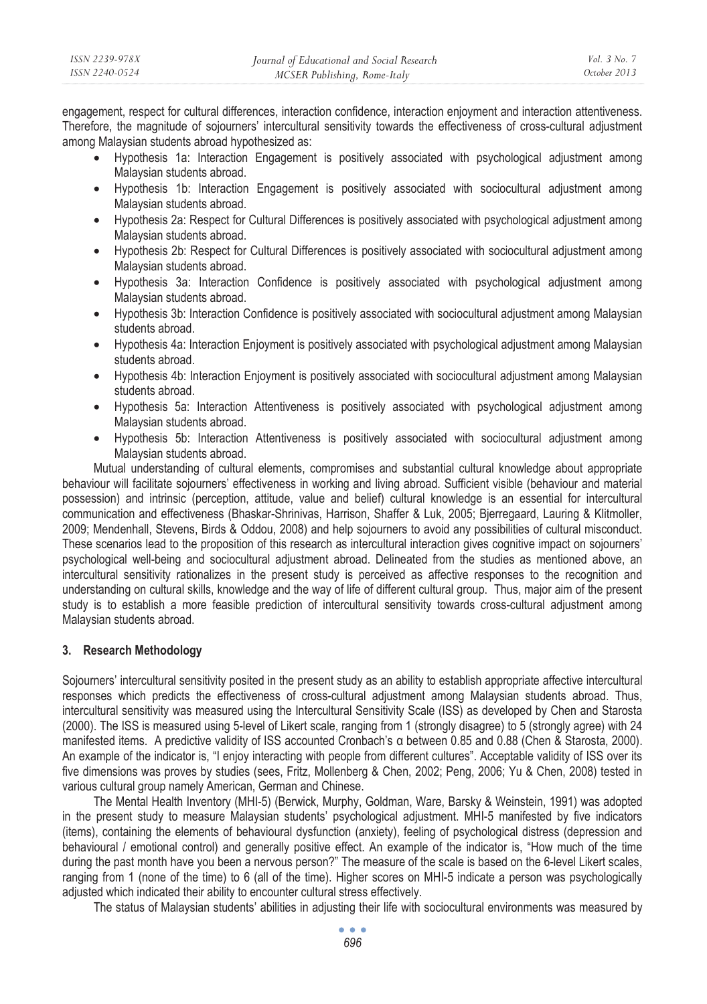engagement, respect for cultural differences, interaction confidence, interaction enjoyment and interaction attentiveness. Therefore, the magnitude of sojourners' intercultural sensitivity towards the effectiveness of cross-cultural adjustment among Malaysian students abroad hypothesized as:

- Hypothesis 1a: Interaction Engagement is positively associated with psychological adjustment among Malaysian students abroad.
- Hypothesis 1b: Interaction Engagement is positively associated with sociocultural adjustment among Malaysian students abroad.
- Hypothesis 2a: Respect for Cultural Differences is positively associated with psychological adjustment among Malaysian students abroad.
- Hypothesis 2b: Respect for Cultural Differences is positively associated with sociocultural adjustment among Malaysian students abroad.
- Hypothesis 3a: Interaction Confidence is positively associated with psychological adjustment among Malaysian students abroad.
- Hypothesis 3b: Interaction Confidence is positively associated with sociocultural adjustment among Malaysian students abroad.
- Hypothesis 4a: Interaction Enjoyment is positively associated with psychological adjustment among Malaysian students abroad.
- Hypothesis 4b: Interaction Enjoyment is positively associated with sociocultural adjustment among Malaysian students abroad.
- Hypothesis 5a: Interaction Attentiveness is positively associated with psychological adjustment among Malaysian students abroad.
- Hypothesis 5b: Interaction Attentiveness is positively associated with sociocultural adjustment among Malaysian students abroad.

Mutual understanding of cultural elements, compromises and substantial cultural knowledge about appropriate behaviour will facilitate sojourners' effectiveness in working and living abroad. Sufficient visible (behaviour and material possession) and intrinsic (perception, attitude, value and belief) cultural knowledge is an essential for intercultural communication and effectiveness (Bhaskar-Shrinivas, Harrison, Shaffer & Luk, 2005; Bjerregaard, Lauring & Klitmoller, 2009; Mendenhall, Stevens, Birds & Oddou, 2008) and help sojourners to avoid any possibilities of cultural misconduct. These scenarios lead to the proposition of this research as intercultural interaction gives cognitive impact on sojourners' psychological well-being and sociocultural adjustment abroad. Delineated from the studies as mentioned above, an intercultural sensitivity rationalizes in the present study is perceived as affective responses to the recognition and understanding on cultural skills, knowledge and the way of life of different cultural group. Thus, major aim of the present study is to establish a more feasible prediction of intercultural sensitivity towards cross-cultural adjustment among Malaysian students abroad.

#### **3. Research Methodology**

Sojourners' intercultural sensitivity posited in the present study as an ability to establish appropriate affective intercultural responses which predicts the effectiveness of cross-cultural adjustment among Malaysian students abroad. Thus, intercultural sensitivity was measured using the Intercultural Sensitivity Scale (ISS) as developed by Chen and Starosta (2000). The ISS is measured using 5-level of Likert scale, ranging from 1 (strongly disagree) to 5 (strongly agree) with 24 manifested items. A predictive validity of ISS accounted Cronbach's a between 0.85 and 0.88 (Chen & Starosta, 2000). An example of the indicator is, "I enjoy interacting with people from different cultures". Acceptable validity of ISS over its five dimensions was proves by studies (sees, Fritz, Mollenberg & Chen, 2002; Peng, 2006; Yu & Chen, 2008) tested in various cultural group namely American, German and Chinese.

The Mental Health Inventory (MHI-5) (Berwick, Murphy, Goldman, Ware, Barsky & Weinstein, 1991) was adopted in the present study to measure Malaysian students' psychological adjustment. MHI-5 manifested by five indicators (items), containing the elements of behavioural dysfunction (anxiety), feeling of psychological distress (depression and behavioural / emotional control) and generally positive effect. An example of the indicator is, "How much of the time during the past month have you been a nervous person?" The measure of the scale is based on the 6-level Likert scales, ranging from 1 (none of the time) to 6 (all of the time). Higher scores on MHI-5 indicate a person was psychologically adjusted which indicated their ability to encounter cultural stress effectively.

The status of Malaysian students' abilities in adjusting their life with sociocultural environments was measured by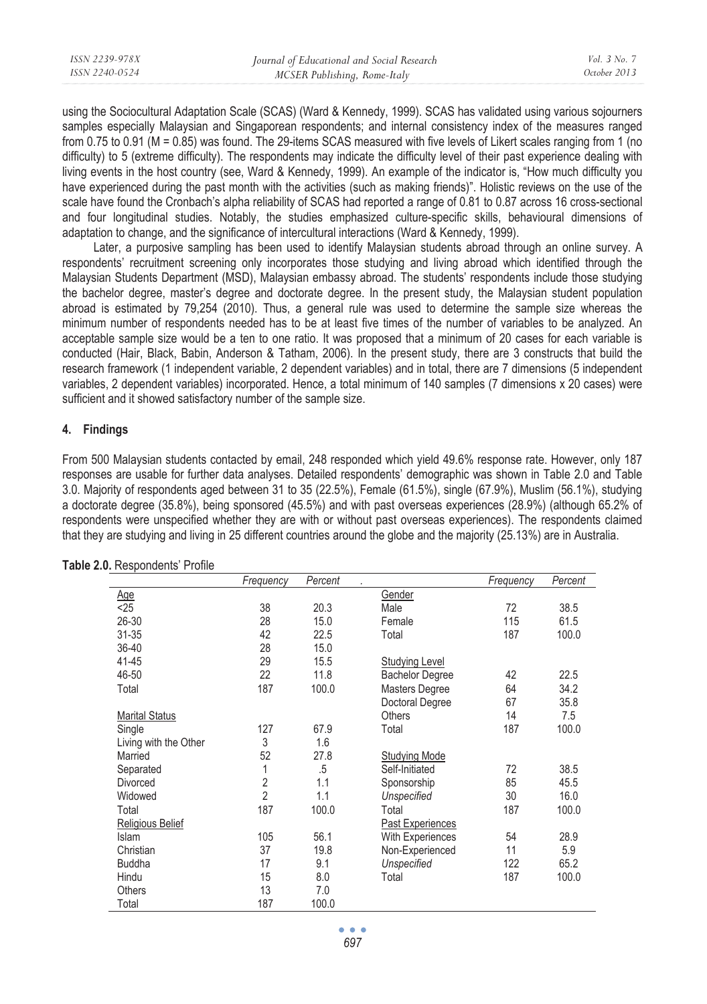| ISSN 2239-978X | Journal of Educational and Social Research | Vol. 3 No. 7 |
|----------------|--------------------------------------------|--------------|
| ISSN 2240-0524 | MCSER Publishing, Rome-Italy               | October 2013 |
|                |                                            |              |

using the Sociocultural Adaptation Scale (SCAS) (Ward & Kennedy, 1999). SCAS has validated using various sojourners samples especially Malaysian and Singaporean respondents; and internal consistency index of the measures ranged from 0.75 to 0.91 (M = 0.85) was found. The 29-items SCAS measured with five levels of Likert scales ranging from 1 (no difficulty) to 5 (extreme difficulty). The respondents may indicate the difficulty level of their past experience dealing with living events in the host country (see, Ward & Kennedy, 1999). An example of the indicator is, "How much difficulty you have experienced during the past month with the activities (such as making friends)". Holistic reviews on the use of the scale have found the Cronbach's alpha reliability of SCAS had reported a range of 0.81 to 0.87 across 16 cross-sectional and four longitudinal studies. Notably, the studies emphasized culture-specific skills, behavioural dimensions of adaptation to change, and the significance of intercultural interactions (Ward & Kennedy, 1999).

Later, a purposive sampling has been used to identify Malaysian students abroad through an online survey. A respondents' recruitment screening only incorporates those studying and living abroad which identified through the Malaysian Students Department (MSD), Malaysian embassy abroad. The students' respondents include those studying the bachelor degree, master's degree and doctorate degree. In the present study, the Malaysian student population abroad is estimated by 79,254 (2010). Thus, a general rule was used to determine the sample size whereas the minimum number of respondents needed has to be at least five times of the number of variables to be analyzed. An acceptable sample size would be a ten to one ratio. It was proposed that a minimum of 20 cases for each variable is conducted (Hair, Black, Babin, Anderson & Tatham, 2006). In the present study, there are 3 constructs that build the research framework (1 independent variable, 2 dependent variables) and in total, there are 7 dimensions (5 independent variables, 2 dependent variables) incorporated. Hence, a total minimum of 140 samples (7 dimensions x 20 cases) were sufficient and it showed satisfactory number of the sample size.

#### **4. Findings**

From 500 Malaysian students contacted by email, 248 responded which yield 49.6% response rate. However, only 187 responses are usable for further data analyses. Detailed respondents' demographic was shown in Table 2.0 and Table 3.0. Majority of respondents aged between 31 to 35 (22.5%), Female (61.5%), single (67.9%), Muslim (56.1%), studying a doctorate degree (35.8%), being sponsored (45.5%) and with past overseas experiences (28.9%) (although 65.2% of respondents were unspecified whether they are with or without past overseas experiences). The respondents claimed that they are studying and living in 25 different countries around the globe and the majority (25.13%) are in Australia.

| $\mathsf u.$ Nespondents in the $\mathsf u$ |                |         |                         |           |         |
|---------------------------------------------|----------------|---------|-------------------------|-----------|---------|
|                                             | Frequency      | Percent |                         | Frequency | Percent |
| <u>Age</u>                                  |                |         | Gender                  |           |         |
| $25$                                        | 38             | 20.3    | Male                    | 72        | 38.5    |
| 26-30                                       | 28             | 15.0    | Female                  | 115       | 61.5    |
| $31 - 35$                                   | 42             | 22.5    | Total                   | 187       | 100.0   |
| 36-40                                       | 28             | 15.0    |                         |           |         |
| 41-45                                       | 29             | 15.5    | <b>Studying Level</b>   |           |         |
| 46-50                                       | 22             | 11.8    | <b>Bachelor Degree</b>  | 42        | 22.5    |
| Total                                       | 187            | 100.0   | Masters Degree          | 64        | 34.2    |
|                                             |                |         | Doctoral Degree         | 67        | 35.8    |
| <b>Marital Status</b>                       |                |         | <b>Others</b>           | 14        | 7.5     |
| Single                                      | 127            | 67.9    | Total                   | 187       | 100.0   |
| Living with the Other                       | 3              | 1.6     |                         |           |         |
| Married                                     | 52             | 27.8    | <b>Studying Mode</b>    |           |         |
| Separated                                   | 1              | .5      | Self-Initiated          | 72        | 38.5    |
| Divorced                                    | $\overline{2}$ | 1.1     | Sponsorship             | 85        | 45.5    |
| Widowed                                     | $\overline{2}$ | 1.1     | Unspecified             | 30        | 16.0    |
| Total                                       | 187            | 100.0   | Total                   | 187       | 100.0   |
| <b>Religious Belief</b>                     |                |         | <b>Past Experiences</b> |           |         |
| Islam                                       | 105            | 56.1    | With Experiences        | 54        | 28.9    |
| Christian                                   | 37             | 19.8    | Non-Experienced         | 11        | 5.9     |
| <b>Buddha</b>                               | 17             | 9.1     | Unspecified             | 122       | 65.2    |
| Hindu                                       | 15             | 8.0     | Total                   | 187       | 100.0   |
| Others                                      | 13             | 7.0     |                         |           |         |
| Total                                       | 187            | 100.0   |                         |           |         |

**Table 2.0.** Respondents' Profile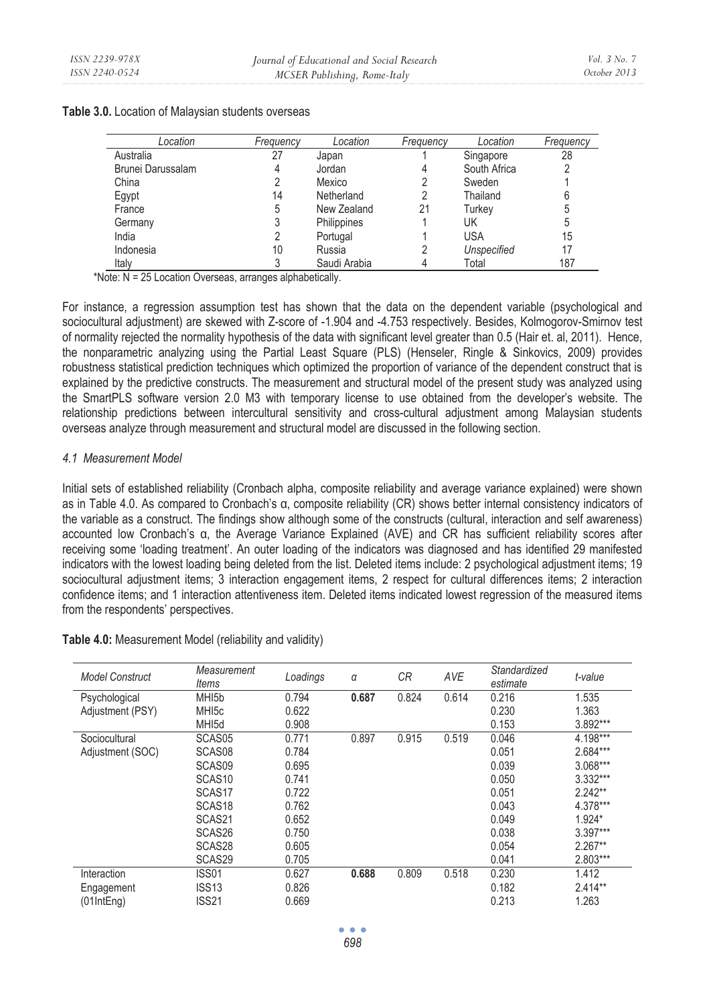| Table 3.0. Location of Malaysian students overseas |  |
|----------------------------------------------------|--|
|----------------------------------------------------|--|

| Location          | Frequency | Location     | Frequency | Location     | Frequency |
|-------------------|-----------|--------------|-----------|--------------|-----------|
| Australia         | 27        | Japan        |           | Singapore    | 28        |
| Brunei Darussalam | 4         | Jordan       |           | South Africa |           |
| China             |           | Mexico       |           | Sweden       |           |
| Egypt             | 14        | Netherland   |           | Thailand     | 6         |
| France            | 5         | New Zealand  | 21        | Turkey       | 5         |
| Germany           | 3         | Philippines  |           | UK           | 5         |
| India             |           | Portugal     |           | <b>USA</b>   | 15        |
| Indonesia         | 10        | Russia       | 2         | Unspecified  | 17        |
| Italy             |           | Saudi Arabia |           | Total        | 187       |

\*Note: N = 25 Location Overseas, arranges alphabetically.

For instance, a regression assumption test has shown that the data on the dependent variable (psychological and sociocultural adjustment) are skewed with Z-score of -1.904 and -4.753 respectively. Besides, Kolmogorov-Smirnov test of normality rejected the normality hypothesis of the data with significant level greater than 0.5 (Hair et. al, 2011). Hence, the nonparametric analyzing using the Partial Least Square (PLS) (Henseler, Ringle & Sinkovics, 2009) provides robustness statistical prediction techniques which optimized the proportion of variance of the dependent construct that is explained by the predictive constructs. The measurement and structural model of the present study was analyzed using the SmartPLS software version 2.0 M3 with temporary license to use obtained from the developer's website. The relationship predictions between intercultural sensitivity and cross-cultural adjustment among Malaysian students overseas analyze through measurement and structural model are discussed in the following section.

#### *4.1 Measurement Model*

Initial sets of established reliability (Cronbach alpha, composite reliability and average variance explained) were shown as in Table 4.0. As compared to Cronbach's  $\alpha$ , composite reliability (CR) shows better internal consistency indicators of the variable as a construct. The findings show although some of the constructs (cultural, interaction and self awareness) accounted low Cronbach's a, the Average Variance Explained (AVE) and CR has sufficient reliability scores after receiving some 'loading treatment'. An outer loading of the indicators was diagnosed and has identified 29 manifested indicators with the lowest loading being deleted from the list. Deleted items include: 2 psychological adjustment items; 19 sociocultural adjustment items; 3 interaction engagement items, 2 respect for cultural differences items; 2 interaction confidence items; and 1 interaction attentiveness item. Deleted items indicated lowest regression of the measured items from the respondents' perspectives.

| <b>Model Construct</b>  | Measurement<br>ltems | Loadings | $\alpha$ | <b>CR</b> | <b>AVE</b> | Standardized<br>estimate | t-value    |
|-------------------------|----------------------|----------|----------|-----------|------------|--------------------------|------------|
| Psychological           | MHI <sub>5</sub> b   | 0.794    | 0.687    | 0.824     | 0.614      | 0.216                    | 1.535      |
| Adjustment (PSY)        | MHI <sub>5c</sub>    | 0.622    |          |           |            | 0.230                    | 1.363      |
|                         | MHI <sub>5d</sub>    | 0.908    |          |           |            | 0.153                    | 3.892***   |
| Sociocultural           | SCAS05               | 0.771    | 0.897    | 0.915     | 0.519      | 0.046                    | 4.198***   |
| Adjustment (SOC)        | SCAS <sub>08</sub>   | 0.784    |          |           |            | 0.051                    | 2.684***   |
|                         | SCAS09               | 0.695    |          |           |            | 0.039                    | 3.068***   |
|                         | SCAS <sub>10</sub>   | 0.741    |          |           |            | 0.050                    | $3.332***$ |
|                         | SCAS <sub>17</sub>   | 0.722    |          |           |            | 0.051                    | $2.242**$  |
|                         | SCAS <sub>18</sub>   | 0.762    |          |           |            | 0.043                    | 4.378***   |
|                         | SCAS21               | 0.652    |          |           |            | 0.049                    | 1.924*     |
|                         | SCAS26               | 0.750    |          |           |            | 0.038                    | 3.397***   |
|                         | SCAS28               | 0.605    |          |           |            | 0.054                    | $2.267**$  |
|                         | SCAS <sub>29</sub>   | 0.705    |          |           |            | 0.041                    | 2.803***   |
| Interaction             | <b>ISS01</b>         | 0.627    | 0.688    | 0.809     | 0.518      | 0.230                    | 1.412      |
| Engagement              | ISS <sub>13</sub>    | 0.826    |          |           |            | 0.182                    | 2.414**    |
| (01 <sub>IntEng</sub> ) | <b>ISS21</b>         | 0.669    |          |           |            | 0.213                    | 1.263      |

**Table 4.0:** Measurement Model (reliability and validity)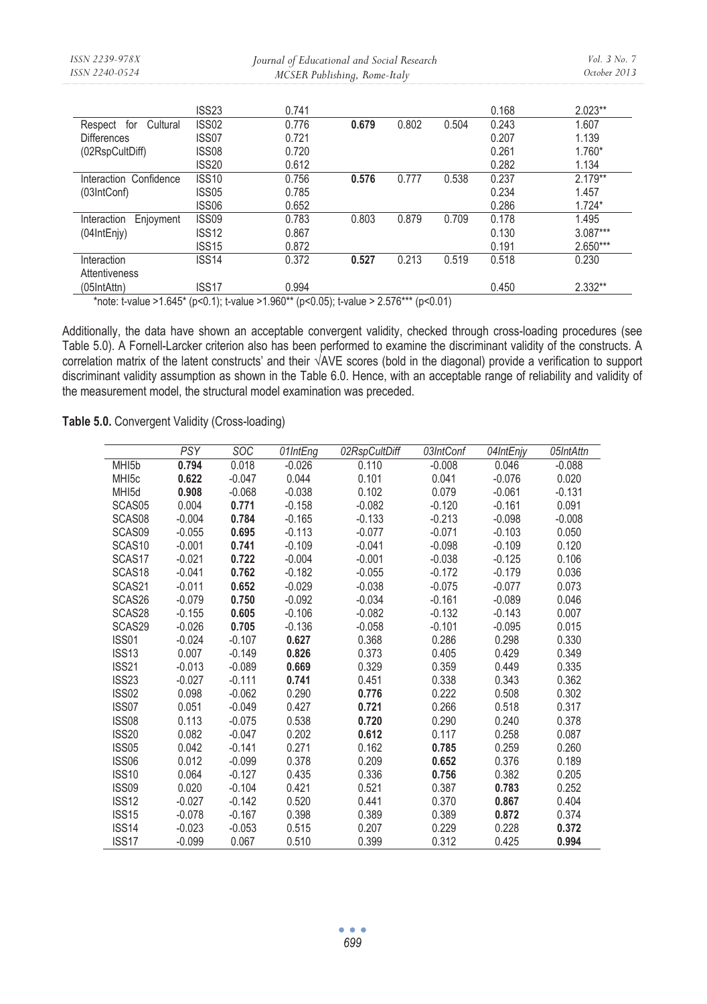| ISSN 2239-978X<br>ISSN 2240-0524 |                   | Journal of Educational and Social Research<br>MCSER Publishing, Rome-Italy |       |       |       |       | Vol. 3 No. 7<br>October 2013 |  |
|----------------------------------|-------------------|----------------------------------------------------------------------------|-------|-------|-------|-------|------------------------------|--|
|                                  | <b>ISS23</b>      | 0.741                                                                      |       |       |       | 0.168 | $2.023**$                    |  |
| Respect<br>Cultural<br>for       | <b>ISS02</b>      | 0.776                                                                      | 0.679 | 0.802 | 0.504 | 0.243 | 1.607                        |  |
| Differences                      | ISS07             | 0.721                                                                      |       |       |       | 0.207 | 1.139                        |  |
| (02RspCultDiff)                  | <b>ISS08</b>      | 0.720                                                                      |       |       |       | 0.261 | 1.760*                       |  |
|                                  | <b>ISS20</b>      | 0.612                                                                      |       |       |       | 0.282 | 1.134                        |  |
| Interaction Confidence           | <b>ISS10</b>      | 0.756                                                                      | 0.576 | 0.777 | 0.538 | 0.237 | $2.179**$                    |  |
| (03IntConf)                      | <b>ISS05</b>      | 0.785                                                                      |       |       |       | 0.234 | 1.457                        |  |
|                                  | ISS <sub>06</sub> | 0.652                                                                      |       |       |       | 0.286 | $1.724*$                     |  |
| Enjoyment<br>Interaction         | <b>ISS09</b>      | 0.783                                                                      | 0.803 | 0.879 | 0.709 | 0.178 | 1.495                        |  |
| (04 <sub>IntEniv</sub> )         | <b>ISS12</b>      | 0.867                                                                      |       |       |       | 0.130 | 3.087***                     |  |
|                                  | <b>ISS15</b>      | 0.872                                                                      |       |       |       | 0.191 | $2.650***$                   |  |
| Interaction<br>Attentiveness     | <b>ISS14</b>      | 0.372                                                                      | 0.527 | 0.213 | 0.519 | 0.518 | 0.230                        |  |
| (05 <sub>Int</sub> Attn)         | ISS <sub>17</sub> | 0.994                                                                      |       |       |       | 0.450 | 2.332**                      |  |

\*note: t-value >1.645\* (p<0.1); t-value >1.960\*\* (p<0.05); t-value > 2.576\*\*\* (p<0.01)

Additionally, the data have shown an acceptable convergent validity, checked through cross-loading procedures (see Table 5.0). A Fornell-Larcker criterion also has been performed to examine the discriminant validity of the constructs. A correlation matrix of the latent constructs' and their  $\sqrt{AVE}$  scores (bold in the diagonal) provide a verification to support discriminant validity assumption as shown in the Table 6.0. Hence, with an acceptable range of reliability and validity of the measurement model, the structural model examination was preceded.

**Table 5.0.** Convergent Validity (Cross-loading)

|                    | PSY      | <b>SOC</b> | 01IntEng | 02RspCultDiff | 03IntConf | 04IntEnjy | 05IntAttn |
|--------------------|----------|------------|----------|---------------|-----------|-----------|-----------|
| MHI <sub>5</sub> b | 0.794    | 0.018      | $-0.026$ | 0.110         | $-0.008$  | 0.046     | $-0.088$  |
| MHI <sub>5c</sub>  | 0.622    | $-0.047$   | 0.044    | 0.101         | 0.041     | $-0.076$  | 0.020     |
| MHI <sub>5d</sub>  | 0.908    | $-0.068$   | $-0.038$ | 0.102         | 0.079     | $-0.061$  | $-0.131$  |
| SCAS05             | 0.004    | 0.771      | $-0.158$ | $-0.082$      | $-0.120$  | $-0.161$  | 0.091     |
| SCAS08             | $-0.004$ | 0.784      | $-0.165$ | $-0.133$      | $-0.213$  | $-0.098$  | $-0.008$  |
| SCAS09             | $-0.055$ | 0.695      | $-0.113$ | $-0.077$      | $-0.071$  | $-0.103$  | 0.050     |
| SCAS <sub>10</sub> | $-0.001$ | 0.741      | $-0.109$ | $-0.041$      | $-0.098$  | $-0.109$  | 0.120     |
| SCAS <sub>17</sub> | $-0.021$ | 0.722      | $-0.004$ | $-0.001$      | $-0.038$  | $-0.125$  | 0.106     |
| SCAS <sub>18</sub> | $-0.041$ | 0.762      | $-0.182$ | $-0.055$      | $-0.172$  | $-0.179$  | 0.036     |
| SCAS21             | $-0.011$ | 0.652      | $-0.029$ | $-0.038$      | $-0.075$  | $-0.077$  | 0.073     |
| SCAS26             | $-0.079$ | 0.750      | $-0.092$ | $-0.034$      | $-0.161$  | $-0.089$  | 0.046     |
| SCAS28             | $-0.155$ | 0.605      | $-0.106$ | $-0.082$      | $-0.132$  | $-0.143$  | 0.007     |
| SCAS29             | $-0.026$ | 0.705      | $-0.136$ | $-0.058$      | $-0.101$  | $-0.095$  | 0.015     |
| <b>ISS01</b>       | $-0.024$ | $-0.107$   | 0.627    | 0.368         | 0.286     | 0.298     | 0.330     |
| ISS <sub>13</sub>  | 0.007    | $-0.149$   | 0.826    | 0.373         | 0.405     | 0.429     | 0.349     |
| <b>ISS21</b>       | $-0.013$ | $-0.089$   | 0.669    | 0.329         | 0.359     | 0.449     | 0.335     |
| ISS <sub>23</sub>  | $-0.027$ | $-0.111$   | 0.741    | 0.451         | 0.338     | 0.343     | 0.362     |
| <b>ISS02</b>       | 0.098    | $-0.062$   | 0.290    | 0.776         | 0.222     | 0.508     | 0.302     |
| <b>ISS07</b>       | 0.051    | $-0.049$   | 0.427    | 0.721         | 0.266     | 0.518     | 0.317     |
| ISS08              | 0.113    | $-0.075$   | 0.538    | 0.720         | 0.290     | 0.240     | 0.378     |
| <b>ISS20</b>       | 0.082    | $-0.047$   | 0.202    | 0.612         | 0.117     | 0.258     | 0.087     |
| <b>ISS05</b>       | 0.042    | $-0.141$   | 0.271    | 0.162         | 0.785     | 0.259     | 0.260     |
| <b>ISS06</b>       | 0.012    | $-0.099$   | 0.378    | 0.209         | 0.652     | 0.376     | 0.189     |
| <b>ISS10</b>       | 0.064    | $-0.127$   | 0.435    | 0.336         | 0.756     | 0.382     | 0.205     |
| ISS09              | 0.020    | $-0.104$   | 0.421    | 0.521         | 0.387     | 0.783     | 0.252     |
| ISS <sub>12</sub>  | $-0.027$ | $-0.142$   | 0.520    | 0.441         | 0.370     | 0.867     | 0.404     |
| <b>ISS15</b>       | $-0.078$ | $-0.167$   | 0.398    | 0.389         | 0.389     | 0.872     | 0.374     |
| ISS <sub>14</sub>  | $-0.023$ | $-0.053$   | 0.515    | 0.207         | 0.229     | 0.228     | 0.372     |
| ISS <sub>17</sub>  | $-0.099$ | 0.067      | 0.510    | 0.399         | 0.312     | 0.425     | 0.994     |

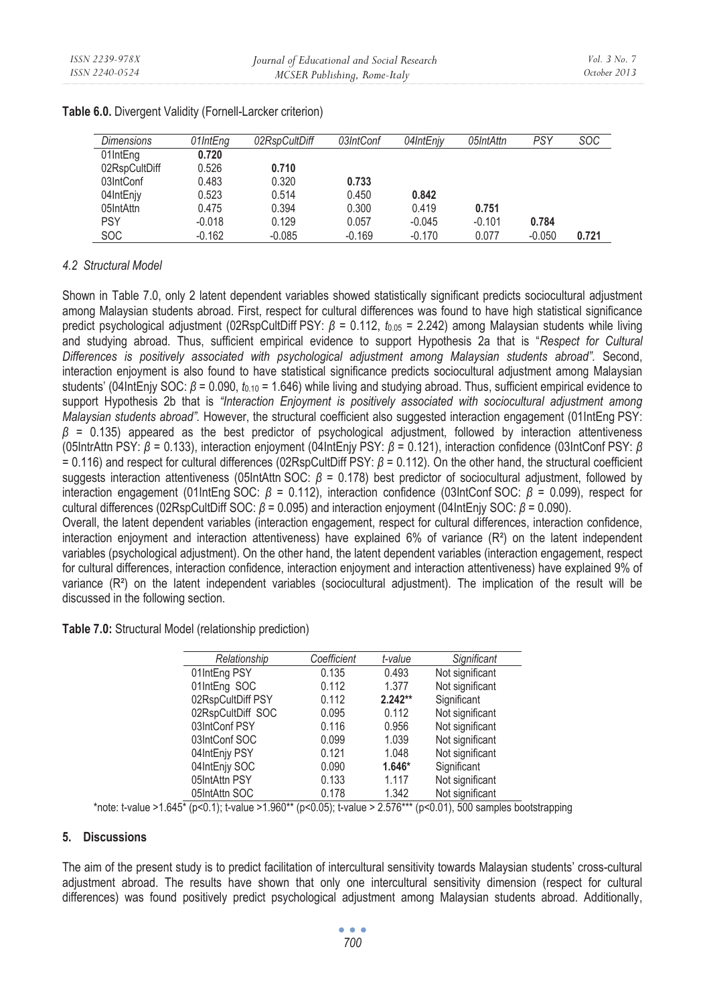| <b>Dimensions</b> | 01IntEng | 02RspCultDiff | 03IntConf | 04IntEnjy | 05IntAttn | PSY      | <b>SOC</b> |
|-------------------|----------|---------------|-----------|-----------|-----------|----------|------------|
| 01IntEng          | 0.720    |               |           |           |           |          |            |
| 02RspCultDiff     | 0.526    | 0.710         |           |           |           |          |            |
| 03IntConf         | 0.483    | 0.320         | 0.733     |           |           |          |            |
| 04IntEnjy         | 0.523    | 0.514         | 0.450     | 0.842     |           |          |            |
| 05IntAttn         | 0.475    | 0.394         | 0.300     | 0.419     | 0.751     |          |            |
| PSY               | $-0.018$ | 0.129         | 0.057     | $-0.045$  | $-0.101$  | 0.784    |            |
| <b>SOC</b>        | $-0.162$ | $-0.085$      | $-0.169$  | $-0.170$  | 0.077     | $-0.050$ | 0.721      |

|  |  |  | Table 6.0. Divergent Validity (Fornell-Larcker criterion) |  |
|--|--|--|-----------------------------------------------------------|--|
|--|--|--|-----------------------------------------------------------|--|

### *4.2 Structural Model*

Shown in Table 7.0, only 2 latent dependent variables showed statistically significant predicts sociocultural adjustment among Malaysian students abroad. First, respect for cultural differences was found to have high statistical significance predict psychological adjustment (02RspCultDiffPSY: *ȕ =* 0.112, *t*0.05 = 2.242) among Malaysian students while living and studying abroad. Thus, sufficient empirical evidence to support Hypothesis 2a that is "*Respect for Cultural Differences is positively associated with psychological adjustment among Malaysian students abroad".* Second, interaction enjoyment is also found to have statistical significance predicts sociocultural adjustment among Malaysian students' (04IntEnjy SOC:  $\beta$  = 0.090,  $t_{0.10}$  = 1.646) while living and studying abroad. Thus, sufficient empirical evidence to support Hypothesis 2b that is *"Interaction Enjoyment is positively associated with sociocultural adjustment among Malaysian students abroad"*. However, the structural coefficient also suggested interaction engagement (01IntEng PSY:  $\beta$  = 0.135) appeared as the best predictor of psychological adjustment, followed by interaction attentiveness (05IntrAttn PSY:  $\beta$  = 0.133), interaction enjoyment (04IntEnjy PSY:  $\beta$  = 0.121), interaction confidence (03IntConf PSY:  $\beta$  $= 0.116$ ) and respect for cultural differences (02RspCultDiff PSY: β = 0.112). On the other hand, the structural coefficient suggests interaction attentiveness (05IntAttn SOC:  $\beta$  = 0.178) best predictor of sociocultural adjustment, followed by interaction engagement (01IntEng SOC:  $\beta$  = 0.112), interaction confidence (03IntConf SOC:  $\beta$  = 0.099), respect for cultural differences (02RspCultDiff SOC:  $\beta$  = 0.095) and interaction enjoyment (04IntEnjy SOC:  $\beta$  = 0.090). Overall, the latent dependent variables (interaction engagement, respect for cultural differences, interaction confidence, interaction enjoyment and interaction attentiveness) have explained 6% of variance (R<sup>2</sup>) on the latent independent variables (psychological adjustment). On the other hand, the latent dependent variables (interaction engagement, respect for cultural differences, interaction confidence, interaction enjoyment and interaction attentiveness) have explained 9% of

**Table 7.0:** Structural Model (relationship prediction)

discussed in the following section.

| Relationship      | Coefficient | t-value   | Significant     |
|-------------------|-------------|-----------|-----------------|
| 01IntEng PSY      | 0.135       | 0.493     | Not significant |
| 01IntEng SOC      | 0.112       | 1.377     | Not significant |
| 02RspCultDiff PSY | 0.112       | $2.242**$ | Significant     |
| 02RspCultDiff SOC | 0.095       | 0.112     | Not significant |
| 03IntConf PSY     | 0.116       | 0.956     | Not significant |
| 03IntConf SOC     | 0.099       | 1.039     | Not significant |
| 04IntEnjy PSY     | 0.121       | 1.048     | Not significant |
| 04IntEnjy SOC     | 0.090       | $1.646*$  | Significant     |
| 05IntAttn PSY     | 0.133       | 1.117     | Not significant |
| 05IntAttn SOC     | 0.178       | 1.342     | Not significant |

variance (R²) on the latent independent variables (sociocultural adjustment). The implication of the result will be

\*note: t-value >1.645\* (p<0.1); t-value >1.960\*\* (p<0.05); t-value >2.576\*\*\* (p<0.01), 500 samples bootstrapping

#### **5. Discussions**

The aim of the present study is to predict facilitation of intercultural sensitivity towards Malaysian students' cross-cultural adjustment abroad. The results have shown that only one intercultural sensitivity dimension (respect for cultural differences) was found positively predict psychological adjustment among Malaysian students abroad. Additionally,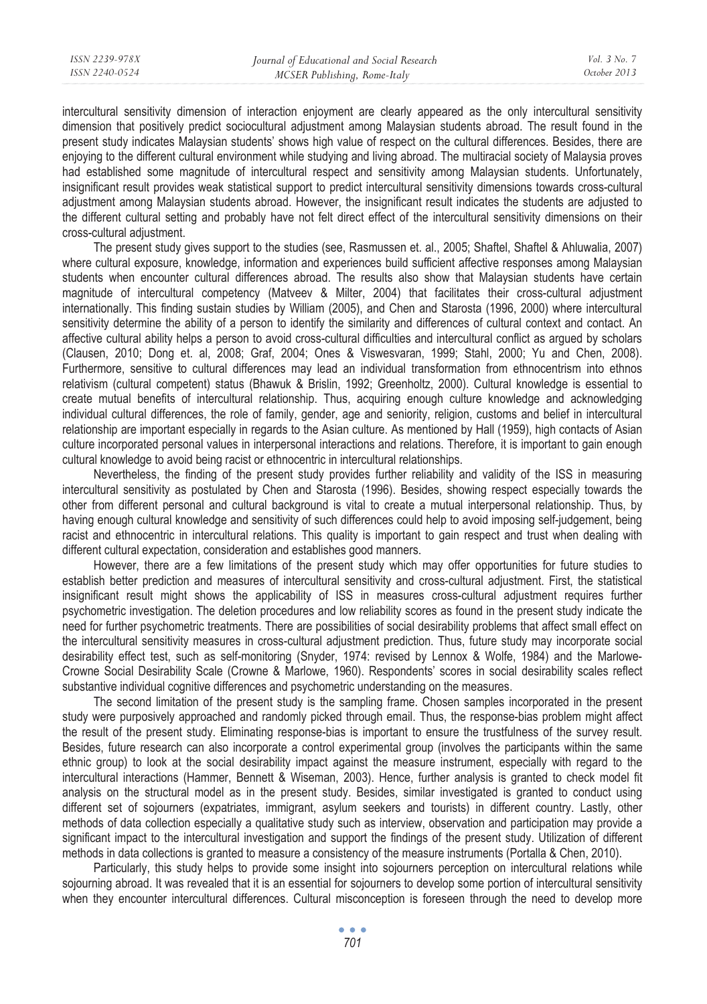intercultural sensitivity dimension of interaction enjoyment are clearly appeared as the only intercultural sensitivity dimension that positively predict sociocultural adjustment among Malaysian students abroad. The result found in the present study indicates Malaysian students' shows high value of respect on the cultural differences. Besides, there are enjoying to the different cultural environment while studying and living abroad. The multiracial society of Malaysia proves had established some magnitude of intercultural respect and sensitivity among Malaysian students. Unfortunately, insignificant result provides weak statistical support to predict intercultural sensitivity dimensions towards cross-cultural adjustment among Malaysian students abroad. However, the insignificant result indicates the students are adjusted to the different cultural setting and probably have not felt direct effect of the intercultural sensitivity dimensions on their cross-cultural adjustment.

The present study gives support to the studies (see, Rasmussen et. al., 2005; Shaftel, Shaftel & Ahluwalia, 2007) where cultural exposure, knowledge, information and experiences build sufficient affective responses among Malaysian students when encounter cultural differences abroad. The results also show that Malaysian students have certain magnitude of intercultural competency (Matveev & Milter, 2004) that facilitates their cross-cultural adjustment internationally. This finding sustain studies by William (2005), and Chen and Starosta (1996, 2000) where intercultural sensitivity determine the ability of a person to identify the similarity and differences of cultural context and contact. An affective cultural ability helps a person to avoid cross-cultural difficulties and intercultural conflict as argued by scholars (Clausen, 2010; Dong et. al, 2008; Graf, 2004; Ones & Viswesvaran, 1999; Stahl, 2000; Yu and Chen, 2008). Furthermore, sensitive to cultural differences may lead an individual transformation from ethnocentrism into ethnos relativism (cultural competent) status (Bhawuk & Brislin, 1992; Greenholtz, 2000). Cultural knowledge is essential to create mutual benefits of intercultural relationship. Thus, acquiring enough culture knowledge and acknowledging individual cultural differences, the role of family, gender, age and seniority, religion, customs and belief in intercultural relationship are important especially in regards to the Asian culture. As mentioned by Hall (1959), high contacts of Asian culture incorporated personal values in interpersonal interactions and relations. Therefore, it is important to gain enough cultural knowledge to avoid being racist or ethnocentric in intercultural relationships.

Nevertheless, the finding of the present study provides further reliability and validity of the ISS in measuring intercultural sensitivity as postulated by Chen and Starosta (1996). Besides, showing respect especially towards the other from different personal and cultural background is vital to create a mutual interpersonal relationship. Thus, by having enough cultural knowledge and sensitivity of such differences could help to avoid imposing self-judgement, being racist and ethnocentric in intercultural relations. This quality is important to gain respect and trust when dealing with different cultural expectation, consideration and establishes good manners.

However, there are a few limitations of the present study which may offer opportunities for future studies to establish better prediction and measures of intercultural sensitivity and cross-cultural adjustment. First, the statistical insignificant result might shows the applicability of ISS in measures cross-cultural adjustment requires further psychometric investigation. The deletion procedures and low reliability scores as found in the present study indicate the need for further psychometric treatments. There are possibilities of social desirability problems that affect small effect on the intercultural sensitivity measures in cross-cultural adjustment prediction. Thus, future study may incorporate social desirability effect test, such as self-monitoring (Snyder, 1974: revised by Lennox & Wolfe, 1984) and the Marlowe-Crowne Social Desirability Scale (Crowne & Marlowe, 1960). Respondents' scores in social desirability scales reflect substantive individual cognitive differences and psychometric understanding on the measures.

The second limitation of the present study is the sampling frame. Chosen samples incorporated in the present study were purposively approached and randomly picked through email. Thus, the response-bias problem might affect the result of the present study. Eliminating response-bias is important to ensure the trustfulness of the survey result. Besides, future research can also incorporate a control experimental group (involves the participants within the same ethnic group) to look at the social desirability impact against the measure instrument, especially with regard to the intercultural interactions (Hammer, Bennett & Wiseman, 2003). Hence, further analysis is granted to check model fit analysis on the structural model as in the present study. Besides, similar investigated is granted to conduct using different set of sojourners (expatriates, immigrant, asylum seekers and tourists) in different country. Lastly, other methods of data collection especially a qualitative study such as interview, observation and participation may provide a significant impact to the intercultural investigation and support the findings of the present study. Utilization of different methods in data collections is granted to measure a consistency of the measure instruments (Portalla & Chen, 2010).

Particularly, this study helps to provide some insight into sojourners perception on intercultural relations while sojourning abroad. It was revealed that it is an essential for sojourners to develop some portion of intercultural sensitivity when they encounter intercultural differences. Cultural misconception is foreseen through the need to develop more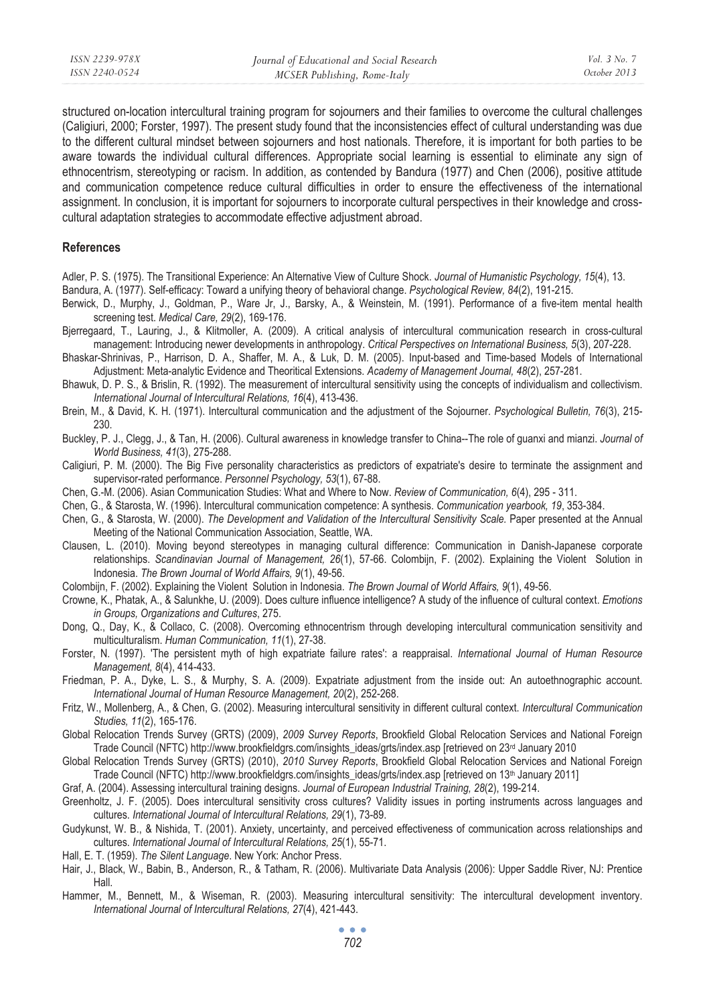structured on-location intercultural training program for sojourners and their families to overcome the cultural challenges (Caligiuri, 2000; Forster, 1997). The present study found that the inconsistencies effect of cultural understanding was due to the different cultural mindset between sojourners and host nationals. Therefore, it is important for both parties to be aware towards the individual cultural differences. Appropriate social learning is essential to eliminate any sign of ethnocentrism, stereotyping or racism. In addition, as contended by Bandura (1977) and Chen (2006), positive attitude and communication competence reduce cultural difficulties in order to ensure the effectiveness of the international assignment. In conclusion, it is important for sojourners to incorporate cultural perspectives in their knowledge and crosscultural adaptation strategies to accommodate effective adjustment abroad.

#### **References**

Adler, P. S. (1975). The Transitional Experience: An Alternative View of Culture Shock. *Journal of Humanistic Psychology, 15*(4), 13.

Bandura, A. (1977). Self-efficacy: Toward a unifying theory of behavioral change. *Psychological Review, 84*(2), 191-215.

- Berwick, D., Murphy, J., Goldman, P., Ware Jr, J., Barsky, A., & Weinstein, M. (1991). Performance of a five-item mental health screening test. *Medical Care, 29*(2), 169-176.
- Bjerregaard, T., Lauring, J., & Klitmoller, A. (2009). A critical analysis of intercultural communication research in cross-cultural management: Introducing newer developments in anthropology. *Critical Perspectives on International Business, 5*(3), 207-228.
- Bhaskar-Shrinivas, P., Harrison, D. A., Shaffer, M. A., & Luk, D. M. (2005). Input-based and Time-based Models of International Adjustment: Meta-analytic Evidence and Theoritical Extensions. *Academy of Management Journal, 48*(2), 257-281.
- Bhawuk, D. P. S., & Brislin, R. (1992). The measurement of intercultural sensitivity using the concepts of individualism and collectivism. *International Journal of Intercultural Relations, 16*(4), 413-436.
- Brein, M., & David, K. H. (1971). Intercultural communication and the adjustment of the Sojourner. *Psychological Bulletin, 76*(3), 215- 230.
- Buckley, P. J., Clegg, J., & Tan, H. (2006). Cultural awareness in knowledge transfer to China--The role of guanxi and mianzi. *Journal of World Business, 41*(3), 275-288.
- Caligiuri, P. M. (2000). The Big Five personality characteristics as predictors of expatriate's desire to terminate the assignment and supervisor-rated performance. *Personnel Psychology, 53*(1), 67-88.
- Chen, G.-M. (2006). Asian Communication Studies: What and Where to Now. *Review of Communication, 6*(4), 295 311.
- Chen, G., & Starosta, W. (1996). Intercultural communication competence: A synthesis. *Communication yearbook, 19*, 353-384.
- Chen, G., & Starosta, W. (2000). *The Development and Validation of the Intercultural Sensitivity Scale.* Paper presented at the Annual Meeting of the National Communication Association, Seattle, WA.
- Clausen, L. (2010). Moving beyond stereotypes in managing cultural difference: Communication in Danish-Japanese corporate relationships. *Scandinavian Journal of Management, 26*(1), 57-66. Colombijn, F. (2002). Explaining the Violent Solution in Indonesia. *The Brown Journal of World Affairs, 9*(1), 49-56.
- Colombijn, F. (2002). Explaining the Violent Solution in Indonesia. *The Brown Journal of World Affairs, 9*(1), 49-56.
- Crowne, K., Phatak, A., & Salunkhe, U. (2009). Does culture influence intelligence? A study of the influence of cultural context. *Emotions in Groups, Organizations and Cultures*, 275.
- Dong, Q., Day, K., & Collaco, C. (2008). Overcoming ethnocentrism through developing intercultural communication sensitivity and multiculturalism. *Human Communication, 11*(1), 27-38.
- Forster, N. (1997). 'The persistent myth of high expatriate failure rates': a reappraisal. *International Journal of Human Resource Management, 8*(4), 414-433.
- Friedman, P. A., Dyke, L. S., & Murphy, S. A. (2009). Expatriate adjustment from the inside out: An autoethnographic account. *International Journal of Human Resource Management, 20*(2), 252-268.
- Fritz, W., Mollenberg, A., & Chen, G. (2002). Measuring intercultural sensitivity in different cultural context. *Intercultural Communication Studies, 11*(2), 165-176.
- Global Relocation Trends Survey (GRTS) (2009), *2009 Survey Reports*, Brookfield Global Relocation Services and National Foreign Trade Council (NFTC) http://www.brookfieldgrs.com/insights\_ideas/grts/index.asp [retrieved on 23<sup>rd</sup> January 2010
- Global Relocation Trends Survey (GRTS) (2010), *2010 Survey Reports*, Brookfield Global Relocation Services and National Foreign Trade Council (NFTC) http://www.brookfieldgrs.com/insights\_ideas/grts/index.asp [retrieved on 13<sup>th</sup> January 2011]
- Graf, A. (2004). Assessing intercultural training designs. *Journal of European Industrial Training, 28*(2), 199-214.
- Greenholtz, J. F. (2005). Does intercultural sensitivity cross cultures? Validity issues in porting instruments across languages and cultures. *International Journal of Intercultural Relations, 29*(1), 73-89.
- Gudykunst, W. B., & Nishida, T. (2001). Anxiety, uncertainty, and perceived effectiveness of communication across relationships and cultures. *International Journal of Intercultural Relations, 25*(1), 55-71.
- Hall, E. T. (1959). *The Silent Language*. New York: Anchor Press.
- Hair, J., Black, W., Babin, B., Anderson, R., & Tatham, R. (2006). Multivariate Data Analysis (2006): Upper Saddle River, NJ: Prentice Hall.
- Hammer, M., Bennett, M., & Wiseman, R. (2003). Measuring intercultural sensitivity: The intercultural development inventory. *International Journal of Intercultural Relations, 27*(4), 421-443.